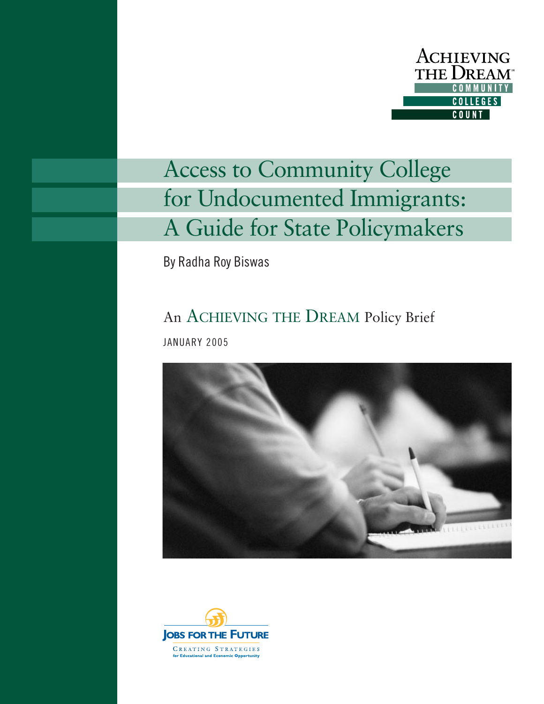

# Access to Community College for Undocumented Immigrants: A Guide for State Policymakers

By Radha Roy Biswas

## An ACHIEVING THE DREAM Policy Brief

JANUARY 2005



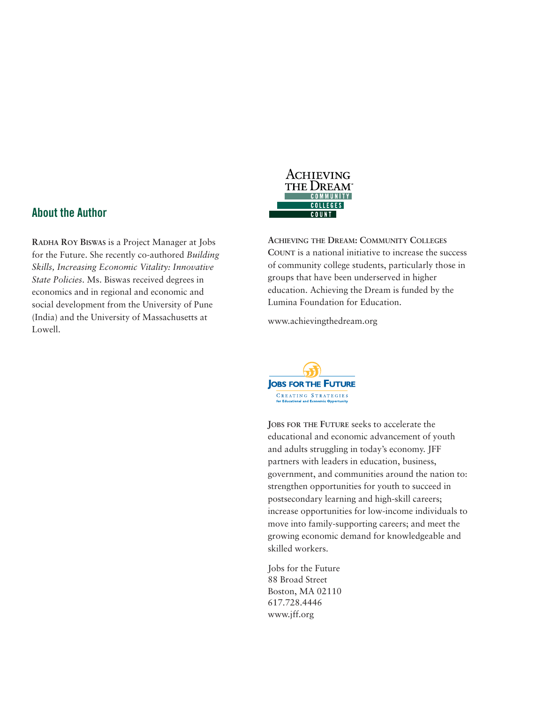### **About the Author**

**RADHA ROY BISWAS** is a Project Manager at Jobs for the Future. She recently co-authored *Building Skills, Increasing Economic Vitality: Innovative State Policies*. Ms. Biswas received degrees in economics and in regional and economic and social development from the University of Pune (India) and the University of Massachusetts at Lowell.



**ACHIEVING THE DREAM: COMMUNITY COLLEGES COUNT** is a national initiative to increase the success of community college students, particularly those in groups that have been underserved in higher education. Achieving the Dream is funded by the Lumina Foundation for Education.

www.achievingthedream.org



**JOBS FOR THE FUTURE** seeks to accelerate the educational and economic advancement of youth and adults struggling in today's economy. JFF partners with leaders in education, business, government, and communities around the nation to: strengthen opportunities for youth to succeed in postsecondary learning and high-skill careers; increase opportunities for low-income individuals to move into family-supporting careers; and meet the growing economic demand for knowledgeable and skilled workers.

Jobs for the Future 88 Broad Street Boston, MA 02110 617.728.4446 www.jff.org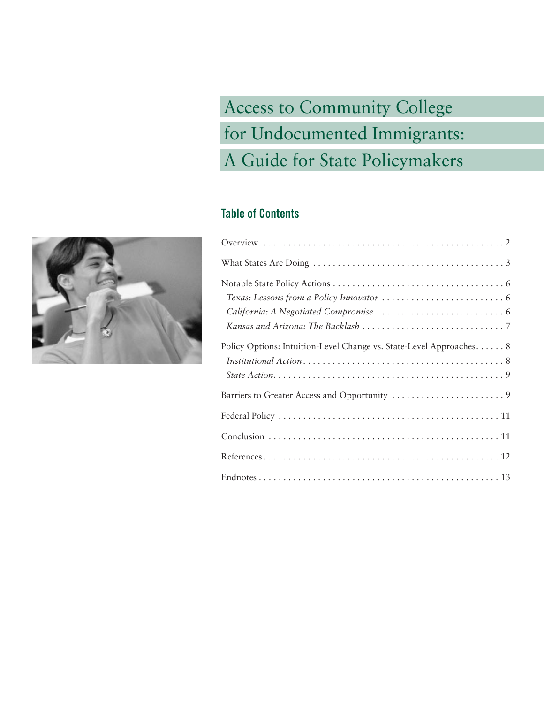Access to Community College for Undocumented Immigrants: A Guide for State Policymakers

## **Table of Contents**

| Policy Options: Intuition-Level Change vs. State-Level Approaches. 8 |  |
|----------------------------------------------------------------------|--|
|                                                                      |  |
|                                                                      |  |
|                                                                      |  |
|                                                                      |  |
|                                                                      |  |

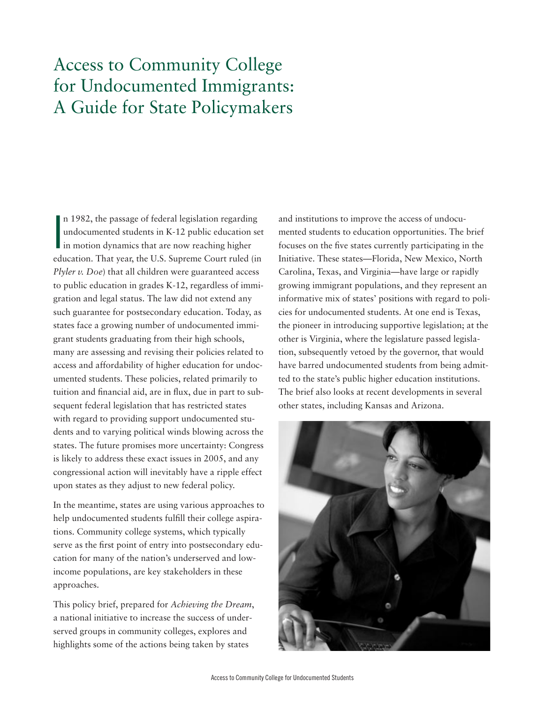## Access to Community College for Undocumented Immigrants: A Guide for State Policymakers

n 1982, the passage of federal legislation regardin<br>
undocumented students in K-12 public education<br>
in motion dynamics that are now reaching higher n 1982, the passage of federal legislation regarding undocumented students in K-12 public education set education. That year, the U.S. Supreme Court ruled (in *Plyler v. Doe*) that all children were guaranteed access to public education in grades K-12, regardless of immigration and legal status. The law did not extend any such guarantee for postsecondary education. Today, as states face a growing number of undocumented immigrant students graduating from their high schools, many are assessing and revising their policies related to access and affordability of higher education for undocumented students. These policies, related primarily to tuition and financial aid, are in flux, due in part to subsequent federal legislation that has restricted states with regard to providing support undocumented students and to varying political winds blowing across the states. The future promises more uncertainty: Congress is likely to address these exact issues in 2005, and any congressional action will inevitably have a ripple effect upon states as they adjust to new federal policy.

In the meantime, states are using various approaches to help undocumented students fulfill their college aspirations. Community college systems, which typically serve as the first point of entry into postsecondary education for many of the nation's underserved and lowincome populations, are key stakeholders in these approaches.

This policy brief, prepared for *Achieving the Dream*, a national initiative to increase the success of underserved groups in community colleges, explores and highlights some of the actions being taken by states

and institutions to improve the access of undocumented students to education opportunities. The brief focuses on the five states currently participating in the Initiative. These states—Florida, New Mexico, North Carolina, Texas, and Virginia—have large or rapidly growing immigrant populations, and they represent an informative mix of states' positions with regard to policies for undocumented students. At one end is Texas, the pioneer in introducing supportive legislation; at the other is Virginia, where the legislature passed legislation, subsequently vetoed by the governor, that would have barred undocumented students from being admitted to the state's public higher education institutions. The brief also looks at recent developments in several other states, including Kansas and Arizona.

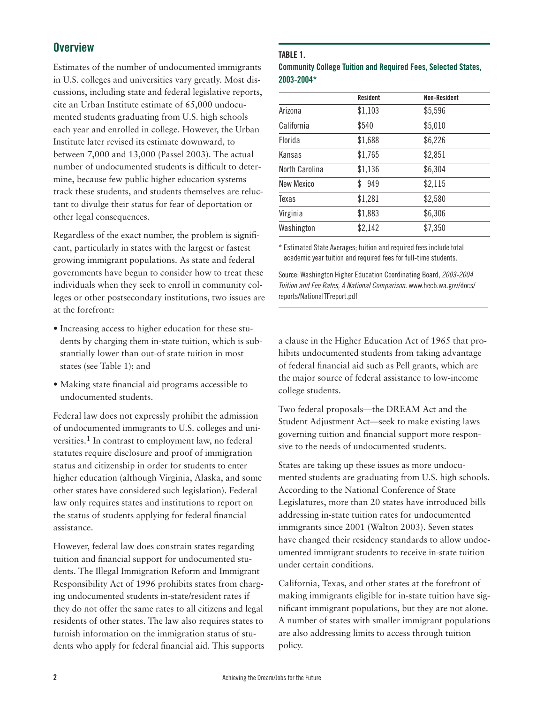## **Overview**

Estimates of the number of undocumented immigrants in U.S. colleges and universities vary greatly. Most discussions, including state and federal legislative reports, cite an Urban Institute estimate of 65,000 undocumented students graduating from U.S. high schools each year and enrolled in college. However, the Urban Institute later revised its estimate downward, to between 7,000 and 13,000 (Passel 2003). The actual number of undocumented students is difficult to determine, because few public higher education systems track these students, and students themselves are reluctant to divulge their status for fear of deportation or other legal consequences.

Regardless of the exact number, the problem is significant, particularly in states with the largest or fastest growing immigrant populations. As state and federal governments have begun to consider how to treat these individuals when they seek to enroll in community colleges or other postsecondary institutions, two issues are at the forefront:

- Increasing access to higher education for these students by charging them in-state tuition, which is substantially lower than out-of state tuition in most states (see Table 1); and
- Making state financial aid programs accessible to undocumented students.

Federal law does not expressly prohibit the admission of undocumented immigrants to U.S. colleges and universities.1 In contrast to employment law, no federal statutes require disclosure and proof of immigration status and citizenship in order for students to enter higher education (although Virginia, Alaska, and some other states have considered such legislation). Federal law only requires states and institutions to report on the status of students applying for federal financial assistance.

However, federal law does constrain states regarding tuition and financial support for undocumented students. The Illegal Immigration Reform and Immigrant Responsibility Act of 1996 prohibits states from charging undocumented students in-state/resident rates if they do not offer the same rates to all citizens and legal residents of other states. The law also requires states to furnish information on the immigration status of students who apply for federal financial aid. This supports

#### **TABLE 1.**

#### **Community College Tuition and Required Fees, Selected States, 2003-2004\***

|                   | <b>Resident</b> | <b>Non-Resident</b> |
|-------------------|-----------------|---------------------|
| Arizona           | \$1,103         | \$5,596             |
| California        | \$540           | \$5,010             |
| Florida           | \$1,688         | \$6,226             |
| Kansas            | \$1,765         | \$2,851             |
| North Carolina    | \$1,136         | \$6,304             |
| <b>New Mexico</b> | \$<br>949       | \$2,115             |
| Texas             | \$1,281         | \$2,580             |
| Virginia          | \$1,883         | \$6,306             |
| Washington        | \$2,142         | \$7,350             |
|                   |                 |                     |

\* Estimated State Averages; tuition and required fees include total academic year tuition and required fees for full-time students.

Source: Washington Higher Education Coordinating Board, 2003-2004 Tuition and Fee Rates, A National Comparison. www.hecb.wa.gov/docs/ reports/NationalTFreport.pdf

a clause in the Higher Education Act of 1965 that prohibits undocumented students from taking advantage of federal financial aid such as Pell grants, which are the major source of federal assistance to low-income college students.

Two federal proposals—the DREAM Act and the Student Adjustment Act—seek to make existing laws governing tuition and financial support more responsive to the needs of undocumented students.

States are taking up these issues as more undocumented students are graduating from U.S. high schools. According to the National Conference of State Legislatures, more than 20 states have introduced bills addressing in-state tuition rates for undocumented immigrants since 2001 (Walton 2003). Seven states have changed their residency standards to allow undocumented immigrant students to receive in-state tuition under certain conditions.

California, Texas, and other states at the forefront of making immigrants eligible for in-state tuition have significant immigrant populations, but they are not alone. A number of states with smaller immigrant populations are also addressing limits to access through tuition policy.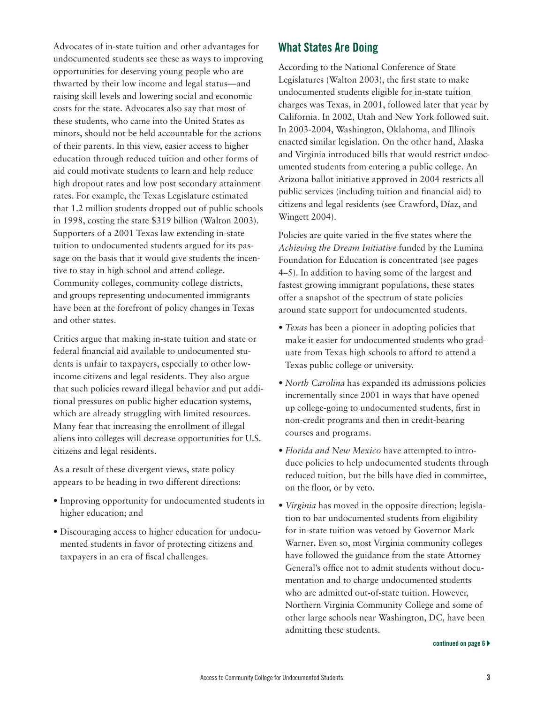Advocates of in-state tuition and other advantages for undocumented students see these as ways to improving opportunities for deserving young people who are thwarted by their low income and legal status—and raising skill levels and lowering social and economic costs for the state. Advocates also say that most of these students, who came into the United States as minors, should not be held accountable for the actions of their parents. In this view, easier access to higher education through reduced tuition and other forms of aid could motivate students to learn and help reduce high dropout rates and low post secondary attainment rates. For example, the Texas Legislature estimated that 1.2 million students dropped out of public schools in 1998, costing the state \$319 billion (Walton 2003). Supporters of a 2001 Texas law extending in-state tuition to undocumented students argued for its passage on the basis that it would give students the incentive to stay in high school and attend college. Community colleges, community college districts, and groups representing undocumented immigrants have been at the forefront of policy changes in Texas and other states.

Critics argue that making in-state tuition and state or federal financial aid available to undocumented students is unfair to taxpayers, especially to other lowincome citizens and legal residents. They also argue that such policies reward illegal behavior and put additional pressures on public higher education systems, which are already struggling with limited resources. Many fear that increasing the enrollment of illegal aliens into colleges will decrease opportunities for U.S. citizens and legal residents.

As a result of these divergent views, state policy appears to be heading in two different directions:

- Improving opportunity for undocumented students in higher education; and
- Discouraging access to higher education for undocumented students in favor of protecting citizens and taxpayers in an era of fiscal challenges.

## **What States Are Doing**

According to the National Conference of State Legislatures (Walton 2003), the first state to make undocumented students eligible for in-state tuition charges was Texas, in 2001, followed later that year by California. In 2002, Utah and New York followed suit. In 2003-2004, Washington, Oklahoma, and Illinois enacted similar legislation. On the other hand, Alaska and Virginia introduced bills that would restrict undocumented students from entering a public college. An Arizona ballot initiative approved in 2004 restricts all public services (including tuition and financial aid) to citizens and legal residents (see Crawford, Díaz, and Wingett 2004).

Policies are quite varied in the five states where the *Achieving the Dream Initiative* funded by the Lumina Foundation for Education is concentrated (see pages 4–5). In addition to having some of the largest and fastest growing immigrant populations, these states offer a snapshot of the spectrum of state policies around state support for undocumented students.

- *Texas* has been a pioneer in adopting policies that make it easier for undocumented students who graduate from Texas high schools to afford to attend a Texas public college or university.
- *North Carolina* has expanded its admissions policies incrementally since 2001 in ways that have opened up college-going to undocumented students, first in non-credit programs and then in credit-bearing courses and programs.
- *Florida and New Mexico* have attempted to introduce policies to help undocumented students through reduced tuition, but the bills have died in committee, on the floor, or by veto*.*
- *Virginia* has moved in the opposite direction; legislation to bar undocumented students from eligibility for in-state tuition was vetoed by Governor Mark Warner**.** Even so, most Virginia community colleges have followed the guidance from the state Attorney General's office not to admit students without documentation and to charge undocumented students who are admitted out-of-state tuition. However, Northern Virginia Community College and some of other large schools near Washington, DC, have been admitting these students.

**continued on page 6**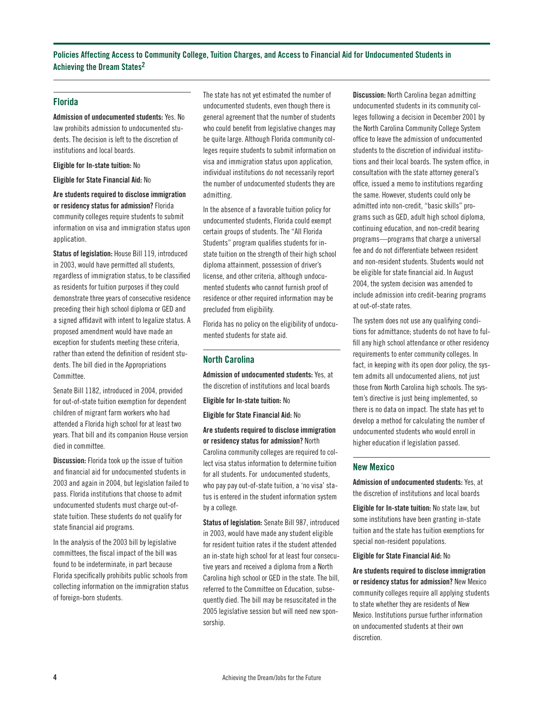**Policies Affecting Access to Community College, Tuition Charges, and Access to Financial Aid for Undocumented Students in Achieving the Dream States2**

#### **Florida**

**Admission of undocumented students:** Yes. No law prohibits admission to undocumented students. The decision is left to the discretion of institutions and local boards.

**Eligible for In-state tuition:** No

**Eligible for State Financial Aid:** No

**Are students required to disclose immigration or residency status for admission?** Florida community colleges require students to submit information on visa and immigration status upon application.

**Status of legislation:** House Bill 119, introduced in 2003, would have permitted all students, regardless of immigration status, to be classified as residents for tuition purposes if they could demonstrate three years of consecutive residence preceding their high school diploma or GED and a signed affidavit with intent to legalize status. A proposed amendment would have made an exception for students meeting these criteria, rather than extend the definition of resident students. The bill died in the Appropriations Committee.

Senate Bill 1182, introduced in 2004, provided for out-of-state tuition exemption for dependent children of migrant farm workers who had attended a Florida high school for at least two years. That bill and its companion House version died in committee.

**Discussion:** Florida took up the issue of tuition and financial aid for undocumented students in 2003 and again in 2004, but legislation failed to pass. Florida institutions that choose to admit undocumented students must charge out-ofstate tuition. These students do not qualify for state financial aid programs.

In the analysis of the 2003 bill by legislative committees, the fiscal impact of the bill was found to be indeterminate, in part because Florida specifically prohibits public schools from collecting information on the immigration status of foreign-born students.

The state has not yet estimated the number of undocumented students, even though there is general agreement that the number of students who could benefit from legislative changes may be quite large. Although Florida community colleges require students to submit information on visa and immigration status upon application, individual institutions do not necessarily report the number of undocumented students they are admitting.

In the absence of a favorable tuition policy for undocumented students, Florida could exempt certain groups of students. The "All Florida Students" program qualifies students for instate tuition on the strength of their high school diploma attainment, possession of driver's license, and other criteria, although undocumented students who cannot furnish proof of residence or other required information may be precluded from eligibility.

Florida has no policy on the eligibility of undocumented students for state aid.

#### **North Carolina**

**Admission of undocumented students:** Yes, at the discretion of institutions and local boards

**Eligible for In-state tuition:** No

**Eligible for State Financial Aid:** No

**Are students required to disclose immigration or residency status for admission?** North Carolina community colleges are required to collect visa status information to determine tuition for all students. For undocumented students, who pay pay out-of-state tuition, a 'no visa' status is entered in the student information system by a college.

**Status of legislation:** Senate Bill 987, introduced in 2003, would have made any student eligible for resident tuition rates if the student attended an in-state high school for at least four consecutive years and received a diploma from a North Carolina high school or GED in the state. The bill, referred to the Committee on Education, subsequently died. The bill may be resuscitated in the 2005 legislative session but will need new sponsorship.

**Discussion:** North Carolina began admitting undocumented students in its community colleges following a decision in December 2001 by the North Carolina Community College System office to leave the admission of undocumented students to the discretion of individual institutions and their local boards. The system office, in consultation with the state attorney general's office, issued a memo to institutions regarding the same. However, students could only be admitted into non-credit, "basic skills" programs such as GED, adult high school diploma, continuing education, and non-credit bearing programs—programs that charge a universal fee and do not differentiate between resident and non-resident students. Students would not be eligible for state financial aid. In August 2004, the system decision was amended to include admission into credit-bearing programs at out-of-state rates.

The system does not use any qualifying conditions for admittance; students do not have to fulfill any high school attendance or other residency requirements to enter community colleges. In fact, in keeping with its open door policy, the system admits all undocumented aliens, not just those from North Carolina high schools. The system's directive is just being implemented, so there is no data on impact. The state has yet to develop a method for calculating the number of undocumented students who would enroll in higher education if legislation passed.

#### **New Mexico**

**Admission of undocumented students:** Yes, at the discretion of institutions and local boards

**Eligible for In-state tuition:** No state law, but some institutions have been granting in-state tuition and the state has tuition exemptions for special non-resident populations.

**Eligible for State Financial Aid:** No

**Are students required to disclose immigration or residency status for admission?** New Mexico community colleges require all applying students to state whether they are residents of New Mexico. Institutions pursue further information on undocumented students at their own discretion.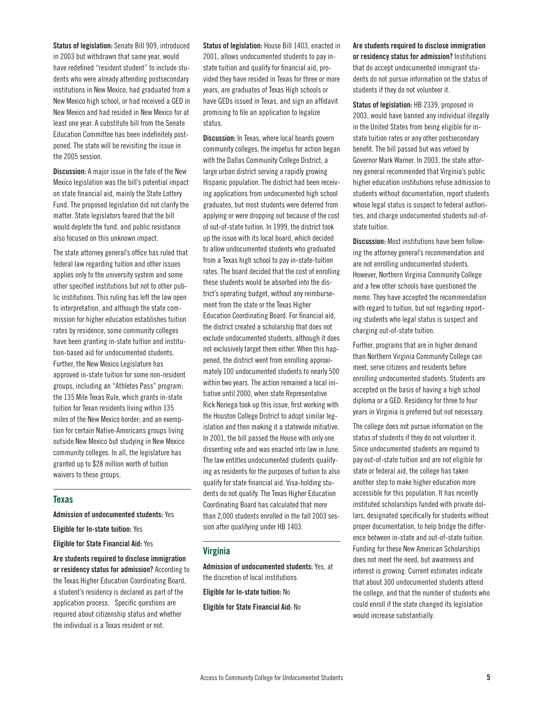**Status of legislation:** Senate Bill 909, introduced in 2003 but withdrawn that same year, would have redefined "resident student" to include students who were already attending postsecondary institutions in New Mexico, had graduated from a New Mexico high school, or had received a GED in New Mexico and had resided in New Mexico for at least one year. A substitute bill from the Senate Education Committee has been indefinitely postponed. The state will be revisiting the issue in the 2005 session.

**Discussion:** A major issue in the fate of the New Mexico legislation was the bill's potential impact on state financial aid, mainly the State Lottery Fund. The proposed legislation did not clarify the matter. State legislators feared that the bill would deplete the fund, and public resistance also focused on this unknown impact.

The state attorney general's office has ruled that federal law regarding tuition and other issues applies only to the university system and some other specified institutions but not to other public institutions. This ruling has left the law open to interpretation, and although the state commission for higher education establishes tuition rates by residence, some community colleges have been granting in-state tuition and institution-based aid for undocumented students. Further, the New Mexico Legislature has approved in-state tuition for some non-resident groups, including an "Athletes Pass" program; the 135 Mile Texas Rule, which grants in-state tuition for Texan residents living within 135 miles of the New Mexico border; and an exemption for certain Native-Americans groups living outside New Mexico but studying in New Mexico community colleges. In all, the legislature has granted up to \$28 million worth of tuition waivers to these groups.

#### **Texas**

**Admission of undocumented students:** Yes

**Eligible for In-state tuition:** Yes

**Eligible for State Financial Aid:** Yes

**Are students required to disclose immigration or residency status for admission?** According to the Texas Higher Education Coordinating Board, a student's residency is declared as part of the application process. Specific questions are required about citizenship status and whether the individual is a Texas resident or not.

**Status of legislation:** House Bill 1403, enacted in 2001, allows undocumented students to pay instate tuition and qualify for financial aid, provided they have resided in Texas for three or more years, are graduates of Texas High schools or have GEDs issued in Texas, and sign an affidavit promising to file an application to legalize status.

**Discussion:** In Texas, where local boards govern community colleges, the impetus for action began with the Dallas Community College District, a large urban district serving a rapidly growing Hispanic population. The district had been receiving applications from undocumented high school graduates, but most students were deterred from applying or were dropping out because of the cost of out-of-state tuition. In 1999, the district took up the issue with its local board, which decided to allow undocumented students who graduated from a Texas high school to pay in-state-tuition rates. The board decided that the cost of enrolling these students would be absorbed into the district's operating budget, without any reimbursement from the state or the Texas Higher Education Coordinating Board. For financial aid, the district created a scholarship that does not exclude undocumented students, although it does not exclusively target them either. When this happened, the district went from enrolling approximately 100 undocumented students to nearly 500 within two years. The action remained a local initiative until 2000, when state Representative Rick Noriega took up this issue, first working with the Houston College District to adopt similar legislation and then making it a statewide initiative. In 2001, the bill passed the House with only one dissenting vote and was enacted into law in June. The law entitles undocumented students qualifying as residents for the purposes of tuition to also qualify for state financial aid. Visa-holding students do not qualify. The Texas Higher Education Coordinating Board has calculated that more than 2,000 students enrolled in the fall 2003 session after qualifying under HB 1403.

#### **Virginia**

**Admission of undocumented students:** Yes, at the discretion of local institutions **Eligible for In-state tuition:** No **Eligible for State Financial Aid:** No

**Are students required to disclose immigration or residency status for admission?** Institutions that do accept undocumented immigrant students do not pursue information on the status of students if they do not volunteer it.

**Status of legislation:** HB 2339, proposed in 2003, would have banned any individual illegally in the United States from being eligible for instate tuition rates or any other postsecondary benefit. The bill passed but was vetoed by Governor Mark Warner. In 2003, the state attorney general recommended that Virginia's public higher education institutions refuse admission to students without documentation, report students whose legal status is suspect to federal authorities, and charge undocumented students out-ofstate tuition.

**Discussion:** Most institutions have been following the attorney general's recommendation and are not enrolling undocumented students. However, Northern Virginia Community College and a few other schools have questioned the memo. They have accepted the recommendation with regard to tuition, but not regarding reporting students who legal status is suspect and charging out-of-state tuition.

Further, programs that are in higher demand than Northern Virginia Community College can meet, serve citizens and residents before enrolling undocumented students. Students are accepted on the basis of having a high school diploma or a GED. Residency for three to four years in Virginia is preferred but not necessary.

The college does not pursue information on the status of students if they do not volunteer it. Since undocumented students are required to pay out-of-state tuition and are not eligible for state or federal aid, the college has taken another step to make higher education more accessible for this population. It has recently instituted scholarships funded with private dollars, designated specifically for students without proper documentation, to help bridge the difference between in-state and out-of-state tuition. Funding for these New American Scholarships does not meet the need, but awareness and interest is growing. Current estimates indicate that about 300 undocumented students attend the college, and that the number of students who could enroll if the state changed its legislation would increase substantially.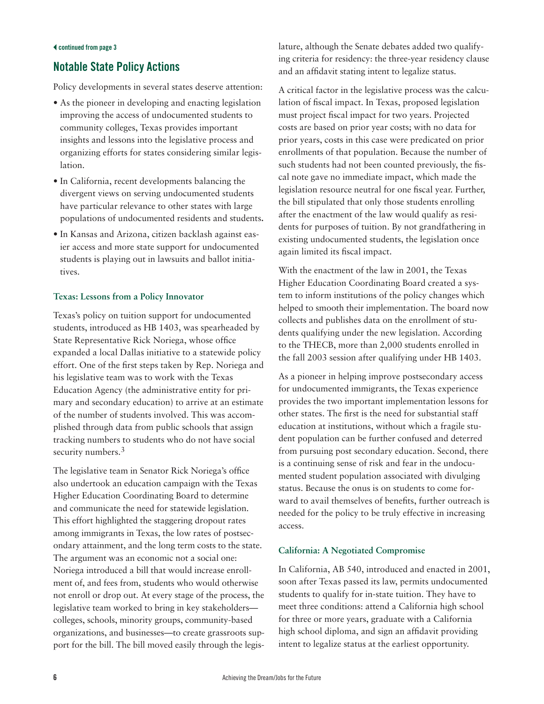## **Notable State Policy Actions**

Policy developments in several states deserve attention:

- As the pioneer in developing and enacting legislation improving the access of undocumented students to community colleges, Texas provides important insights and lessons into the legislative process and organizing efforts for states considering similar legislation.
- In California, recent developments balancing the divergent views on serving undocumented students have particular relevance to other states with large populations of undocumented residents and students**.**
- In Kansas and Arizona, citizen backlash against easier access and more state support for undocumented students is playing out in lawsuits and ballot initiatives.

### **Texas: Lessons from a Policy Innovator**

Texas's policy on tuition support for undocumented students, introduced as HB 1403, was spearheaded by State Representative Rick Noriega, whose office expanded a local Dallas initiative to a statewide policy effort. One of the first steps taken by Rep. Noriega and his legislative team was to work with the Texas Education Agency (the administrative entity for primary and secondary education) to arrive at an estimate of the number of students involved. This was accomplished through data from public schools that assign tracking numbers to students who do not have social security numbers.<sup>3</sup>

The legislative team in Senator Rick Noriega's office also undertook an education campaign with the Texas Higher Education Coordinating Board to determine and communicate the need for statewide legislation. This effort highlighted the staggering dropout rates among immigrants in Texas, the low rates of postsecondary attainment, and the long term costs to the state. The argument was an economic not a social one: Noriega introduced a bill that would increase enrollment of, and fees from, students who would otherwise not enroll or drop out. At every stage of the process, the legislative team worked to bring in key stakeholders colleges, schools, minority groups, community-based organizations, and businesses—to create grassroots support for the bill. The bill moved easily through the legis-

lature, although the Senate debates added two qualifying criteria for residency: the three-year residency clause and an affidavit stating intent to legalize status.

A critical factor in the legislative process was the calculation of fiscal impact. In Texas, proposed legislation must project fiscal impact for two years. Projected costs are based on prior year costs; with no data for prior years, costs in this case were predicated on prior enrollments of that population. Because the number of such students had not been counted previously, the fiscal note gave no immediate impact, which made the legislation resource neutral for one fiscal year. Further, the bill stipulated that only those students enrolling after the enactment of the law would qualify as residents for purposes of tuition. By not grandfathering in existing undocumented students, the legislation once again limited its fiscal impact.

With the enactment of the law in 2001, the Texas Higher Education Coordinating Board created a system to inform institutions of the policy changes which helped to smooth their implementation. The board now collects and publishes data on the enrollment of students qualifying under the new legislation. According to the THECB, more than 2,000 students enrolled in the fall 2003 session after qualifying under HB 1403.

As a pioneer in helping improve postsecondary access for undocumented immigrants, the Texas experience provides the two important implementation lessons for other states. The first is the need for substantial staff education at institutions, without which a fragile student population can be further confused and deterred from pursuing post secondary education. Second, there is a continuing sense of risk and fear in the undocumented student population associated with divulging status. Because the onus is on students to come forward to avail themselves of benefits, further outreach is needed for the policy to be truly effective in increasing access.

## **California: A Negotiated Compromise**

In California, AB 540, introduced and enacted in 2001, soon after Texas passed its law, permits undocumented students to qualify for in-state tuition. They have to meet three conditions: attend a California high school for three or more years, graduate with a California high school diploma, and sign an affidavit providing intent to legalize status at the earliest opportunity.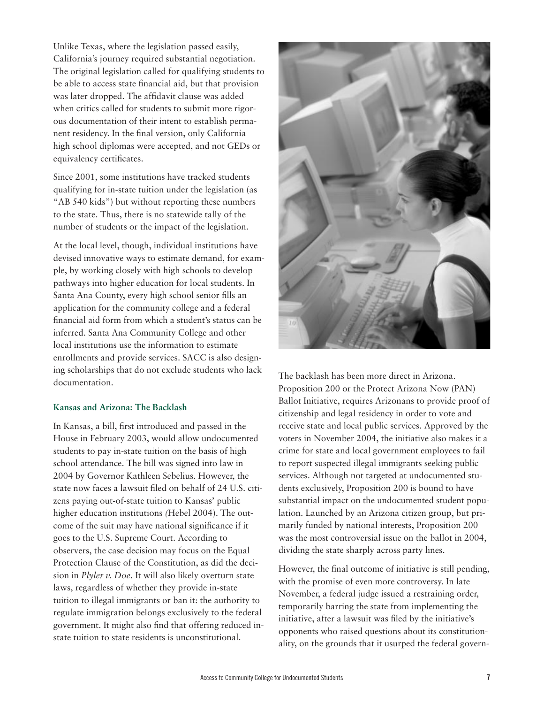Unlike Texas, where the legislation passed easily, California's journey required substantial negotiation. The original legislation called for qualifying students to be able to access state financial aid, but that provision was later dropped. The affidavit clause was added when critics called for students to submit more rigorous documentation of their intent to establish permanent residency. In the final version, only California high school diplomas were accepted, and not GEDs or equivalency certificates.

Since 2001, some institutions have tracked students qualifying for in-state tuition under the legislation (as "AB 540 kids") but without reporting these numbers to the state. Thus, there is no statewide tally of the number of students or the impact of the legislation.

At the local level, though, individual institutions have devised innovative ways to estimate demand, for example, by working closely with high schools to develop pathways into higher education for local students. In Santa Ana County, every high school senior fills an application for the community college and a federal financial aid form from which a student's status can be inferred. Santa Ana Community College and other local institutions use the information to estimate enrollments and provide services. SACC is also designing scholarships that do not exclude students who lack documentation.

#### **Kansas and Arizona: The Backlash**

In Kansas, a bill, first introduced and passed in the House in February 2003, would allow undocumented students to pay in-state tuition on the basis of high school attendance. The bill was signed into law in 2004 by Governor Kathleen Sebelius. However, the state now faces a lawsuit filed on behalf of 24 U.S. citizens paying out-of-state tuition to Kansas' public higher education institutions *(*Hebel 2004). The outcome of the suit may have national significance if it goes to the U.S. Supreme Court. According to observers, the case decision may focus on the Equal Protection Clause of the Constitution, as did the decision in *Plyler v. Doe*. It will also likely overturn state laws, regardless of whether they provide in-state tuition to illegal immigrants or ban it: the authority to regulate immigration belongs exclusively to the federal government. It might also find that offering reduced instate tuition to state residents is unconstitutional.



The backlash has been more direct in Arizona. Proposition 200 or the Protect Arizona Now (PAN) Ballot Initiative, requires Arizonans to provide proof of citizenship and legal residency in order to vote and receive state and local public services. Approved by the voters in November 2004, the initiative also makes it a crime for state and local government employees to fail to report suspected illegal immigrants seeking public services. Although not targeted at undocumented students exclusively, Proposition 200 is bound to have substantial impact on the undocumented student population. Launched by an Arizona citizen group, but primarily funded by national interests, Proposition 200 was the most controversial issue on the ballot in 2004, dividing the state sharply across party lines.

However, the final outcome of initiative is still pending, with the promise of even more controversy. In late November, a federal judge issued a restraining order, temporarily barring the state from implementing the initiative, after a lawsuit was filed by the initiative's opponents who raised questions about its constitutionality, on the grounds that it usurped the federal govern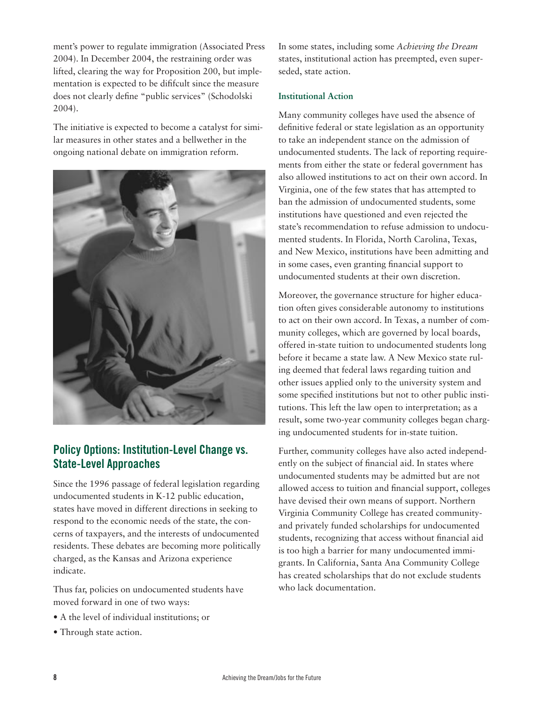ment's power to regulate immigration (Associated Press 2004). In December 2004, the restraining order was lifted, clearing the way for Proposition 200, but implementation is expected to be dififcult since the measure does not clearly define "public services" (Schodolski 2004).

The initiative is expected to become a catalyst for similar measures in other states and a bellwether in the ongoing national debate on immigration reform.



## **Policy Options: Institution-Level Change vs. State-Level Approaches**

Since the 1996 passage of federal legislation regarding undocumented students in K-12 public education, states have moved in different directions in seeking to respond to the economic needs of the state, the concerns of taxpayers, and the interests of undocumented residents. These debates are becoming more politically charged, as the Kansas and Arizona experience indicate.

Thus far, policies on undocumented students have moved forward in one of two ways:

- A the level of individual institutions; or
- Through state action.

In some states, including some *Achieving the Dream* states, institutional action has preempted, even superseded, state action.

#### **Institutional Action**

Many community colleges have used the absence of definitive federal or state legislation as an opportunity to take an independent stance on the admission of undocumented students. The lack of reporting requirements from either the state or federal government has also allowed institutions to act on their own accord. In Virginia, one of the few states that has attempted to ban the admission of undocumented students, some institutions have questioned and even rejected the state's recommendation to refuse admission to undocumented students. In Florida, North Carolina, Texas, and New Mexico, institutions have been admitting and in some cases, even granting financial support to undocumented students at their own discretion.

Moreover, the governance structure for higher education often gives considerable autonomy to institutions to act on their own accord. In Texas, a number of community colleges, which are governed by local boards, offered in-state tuition to undocumented students long before it became a state law. A New Mexico state ruling deemed that federal laws regarding tuition and other issues applied only to the university system and some specified institutions but not to other public institutions. This left the law open to interpretation; as a result, some two-year community colleges began charging undocumented students for in-state tuition.

Further, community colleges have also acted independently on the subject of financial aid. In states where undocumented students may be admitted but are not allowed access to tuition and financial support, colleges have devised their own means of support. Northern Virginia Community College has created communityand privately funded scholarships for undocumented students, recognizing that access without financial aid is too high a barrier for many undocumented immigrants. In California, Santa Ana Community College has created scholarships that do not exclude students who lack documentation.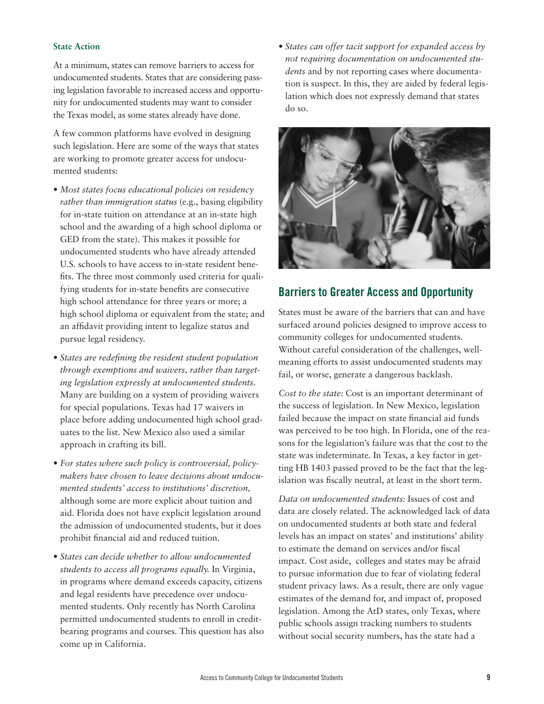#### **State Action**

At a minimum, states can remove barriers to access for undocumented students. States that are considering passing legislation favorable to increased access and opportunity for undocumented students may want to consider the Texas model, as some states already have done.

A few common platforms have evolved in designing such legislation. Here are some of the ways that states are working to promote greater access for undocumented students:

- *Most states focus educational policies on residency rather than immigration status* (e.g., basing eligibility for in-state tuition on attendance at an in-state high school and the awarding of a high school diploma or GED from the state). This makes it possible for undocumented students who have already attended U.S. schools to have access to in-state resident benefits. The three most commonly used criteria for qualifying students for in-state benefits are consecutive high school attendance for three years or more; a high school diploma or equivalent from the state; and an affidavit providing intent to legalize status and pursue legal residency.
- *States are redefining the resident student population through exemptions and waivers, rather than targeting legislation expressly at undocumented students.* Many are building on a system of providing waivers for special populations. Texas had 17 waivers in place before adding undocumented high school graduates to the list. New Mexico also used a similar approach in crafting its bill.
- *For states where such policy is controversial, policymakers have chosen to leave decisions about undocumented students' access to institutions' discretion,* although some are more explicit about tuition and aid. Florida does not have explicit legislation around the admission of undocumented students, but it does prohibit financial aid and reduced tuition.
- *States can decide whether to allow undocumented students to access all programs equally.* In Virginia, in programs where demand exceeds capacity, citizens and legal residents have precedence over undocumented students. Only recently has North Carolina permitted undocumented students to enroll in creditbearing programs and courses. This question has also come up in California.

• *States can offer tacit support for expanded access by not requiring documentation on undocumented students* and by not reporting cases where documentation is suspect. In this, they are aided by federal legislation which does not expressly demand that states do so.



### **Barriers to Greater Access and Opportunity**

States must be aware of the barriers that can and have surfaced around policies designed to improve access to community colleges for undocumented students. Without careful consideration of the challenges, wellmeaning efforts to assist undocumented students may fail, or worse, generate a dangerous backlash.

*Cost to the state:* Cost is an important determinant of the success of legislation. In New Mexico, legislation failed because the impact on state financial aid funds was perceived to be too high. In Florida, one of the reasons for the legislation's failure was that the cost to the state was indeterminate. In Texas, a key factor in getting HB 1403 passed proved to be the fact that the legislation was fiscally neutral, at least in the short term.

*Data on undocumented students:* Issues of cost and data are closely related. The acknowledged lack of data on undocumented students at both state and federal levels has an impact on states' and institutions' ability to estimate the demand on services and/or fiscal impact. Cost aside, colleges and states may be afraid to pursue information due to fear of violating federal student privacy laws. As a result, there are only vague estimates of the demand for, and impact of, proposed legislation. Among the AtD states, only Texas, where public schools assign tracking numbers to students without social security numbers, has the state had a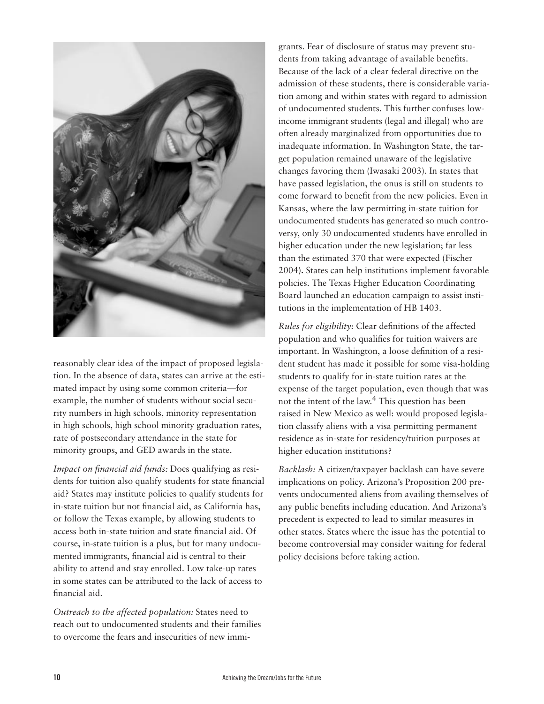

reasonably clear idea of the impact of proposed legislation. In the absence of data, states can arrive at the estimated impact by using some common criteria—for example, the number of students without social security numbers in high schools, minority representation in high schools, high school minority graduation rates, rate of postsecondary attendance in the state for minority groups, and GED awards in the state.

*Impact on financial aid funds:* Does qualifying as residents for tuition also qualify students for state financial aid? States may institute policies to qualify students for in-state tuition but not financial aid, as California has, or follow the Texas example, by allowing students to access both in-state tuition and state financial aid. Of course, in-state tuition is a plus, but for many undocumented immigrants, financial aid is central to their ability to attend and stay enrolled. Low take-up rates in some states can be attributed to the lack of access to financial aid.

*Outreach to the affected population:* States need to reach out to undocumented students and their families to overcome the fears and insecurities of new immigrants. Fear of disclosure of status may prevent students from taking advantage of available benefits. Because of the lack of a clear federal directive on the admission of these students, there is considerable variation among and within states with regard to admission of undocumented students. This further confuses lowincome immigrant students (legal and illegal) who are often already marginalized from opportunities due to inadequate information. In Washington State, the target population remained unaware of the legislative changes favoring them (Iwasaki 2003). In states that have passed legislation, the onus is still on students to come forward to benefit from the new policies. Even in Kansas, where the law permitting in-state tuition for undocumented students has generated so much controversy, only 30 undocumented students have enrolled in higher education under the new legislation; far less than the estimated 370 that were expected (Fischer 2004**).** States can help institutions implement favorable policies. The Texas Higher Education Coordinating Board launched an education campaign to assist institutions in the implementation of HB 1403.

*Rules for eligibility:* Clear definitions of the affected population and who qualifies for tuition waivers are important. In Washington, a loose definition of a resident student has made it possible for some visa-holding students to qualify for in-state tuition rates at the expense of the target population, even though that was not the intent of the law.<sup>4</sup> This question has been raised in New Mexico as well: would proposed legislation classify aliens with a visa permitting permanent residence as in-state for residency/tuition purposes at higher education institutions?

*Backlash:* A citizen/taxpayer backlash can have severe implications on policy. Arizona's Proposition 200 prevents undocumented aliens from availing themselves of any public benefits including education. And Arizona's precedent is expected to lead to similar measures in other states. States where the issue has the potential to become controversial may consider waiting for federal policy decisions before taking action.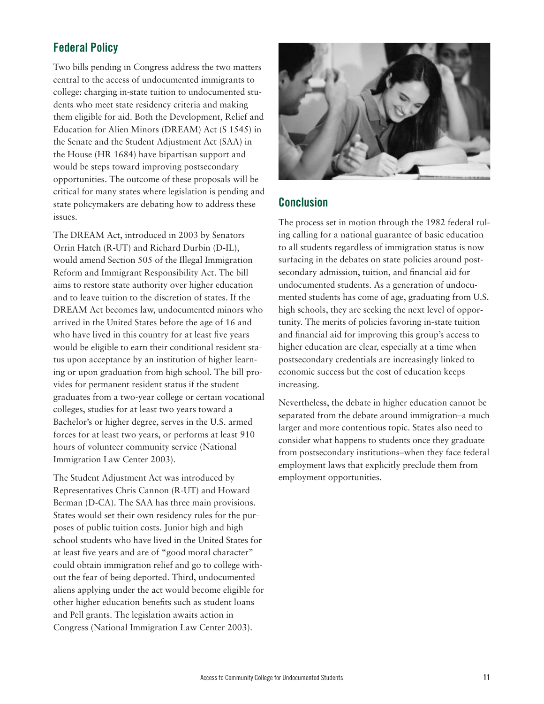## **Federal Policy**

Two bills pending in Congress address the two matters central to the access of undocumented immigrants to college: charging in-state tuition to undocumented students who meet state residency criteria and making them eligible for aid. Both the Development, Relief and Education for Alien Minors (DREAM) Act (S 1545) in the Senate and the Student Adjustment Act (SAA) in the House (HR 1684) have bipartisan support and would be steps toward improving postsecondary opportunities. The outcome of these proposals will be critical for many states where legislation is pending and state policymakers are debating how to address these issues.

The DREAM Act, introduced in 2003 by Senators Orrin Hatch (R-UT) and Richard Durbin (D-IL), would amend Section 505 of the Illegal Immigration Reform and Immigrant Responsibility Act. The bill aims to restore state authority over higher education and to leave tuition to the discretion of states. If the DREAM Act becomes law, undocumented minors who arrived in the United States before the age of 16 and who have lived in this country for at least five years would be eligible to earn their conditional resident status upon acceptance by an institution of higher learning or upon graduation from high school. The bill provides for permanent resident status if the student graduates from a two-year college or certain vocational colleges, studies for at least two years toward a Bachelor's or higher degree, serves in the U.S. armed forces for at least two years, or performs at least 910 hours of volunteer community service (National Immigration Law Center 2003).

The Student Adjustment Act was introduced by Representatives Chris Cannon (R-UT) and Howard Berman (D-CA). The SAA has three main provisions. States would set their own residency rules for the purposes of public tuition costs. Junior high and high school students who have lived in the United States for at least five years and are of "good moral character" could obtain immigration relief and go to college without the fear of being deported. Third, undocumented aliens applying under the act would become eligible for other higher education benefits such as student loans and Pell grants. The legislation awaits action in Congress (National Immigration Law Center 2003).



## **Conclusion**

The process set in motion through the 1982 federal ruling calling for a national guarantee of basic education to all students regardless of immigration status is now surfacing in the debates on state policies around postsecondary admission, tuition, and financial aid for undocumented students. As a generation of undocumented students has come of age, graduating from U.S. high schools, they are seeking the next level of opportunity. The merits of policies favoring in-state tuition and financial aid for improving this group's access to higher education are clear, especially at a time when postsecondary credentials are increasingly linked to economic success but the cost of education keeps increasing.

Nevertheless, the debate in higher education cannot be separated from the debate around immigration–a much larger and more contentious topic. States also need to consider what happens to students once they graduate from postsecondary institutions–when they face federal employment laws that explicitly preclude them from employment opportunities.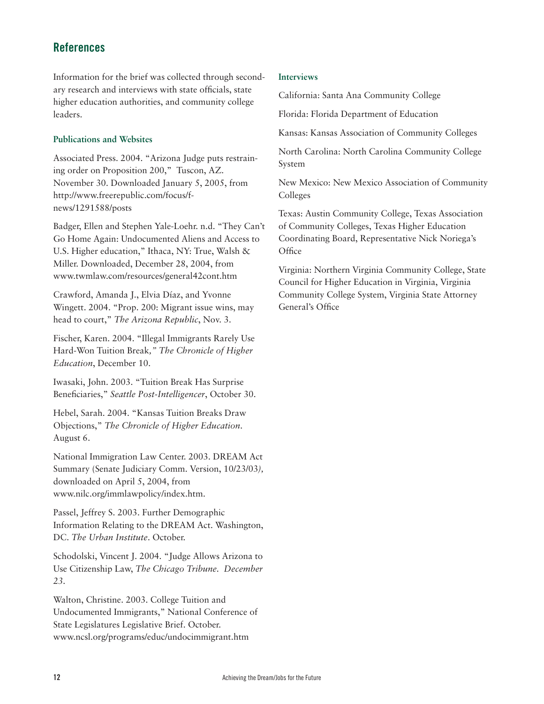## **References**

Information for the brief was collected through secondary research and interviews with state officials, state higher education authorities, and community college leaders.

#### **Publications and Websites**

Associated Press. 2004. "Arizona Judge puts restraining order on Proposition 200," Tuscon, AZ. November 30. Downloaded January 5, 2005, from http://www.freerepublic.com/focus/fnews/1291588/posts

Badger, Ellen and Stephen Yale-Loehr. n.d. "They Can't Go Home Again: Undocumented Aliens and Access to U.S. Higher education," Ithaca, NY: True, Walsh & Miller. Downloaded, December 28, 2004, from www.twmlaw.com/resources/general42cont.htm

Crawford, Amanda J., Elvia Díaz, and Yvonne Wingett. 2004. "Prop. 200: Migrant issue wins, may head to court," *The Arizona Republic*, Nov. 3.

Fischer, Karen. 2004. "Illegal Immigrants Rarely Use Hard-Won Tuition Break*," The Chronicle of Higher Education*, December 10.

Iwasaki, John. 2003. "Tuition Break Has Surprise Beneficiaries," *Seattle Post-Intelligencer*, October 30.

Hebel, Sarah. 2004. "Kansas Tuition Breaks Draw Objections," *The Chronicle of Higher Education*. August 6.

National Immigration Law Center. 2003. DREAM Act Summary (Senate Judiciary Comm. Version, 10/23/03*),* downloaded on April 5, 2004, from www.nilc.org/immlawpolicy/index.htm.

Passel, Jeffrey S. 2003. Further Demographic Information Relating to the DREAM Act. Washington, DC. *The Urban Institute*. October.

Schodolski, Vincent J. 2004. "Judge Allows Arizona to Use Citizenship Law, *The Chicago Tribune. December 23.* 

Walton, Christine. 2003. College Tuition and Undocumented Immigrants," National Conference of State Legislatures Legislative Brief. October. www.ncsl.org/programs/educ/undocimmigrant.htm

#### **Interviews**

California: Santa Ana Community College

Florida: Florida Department of Education

Kansas: Kansas Association of Community Colleges

North Carolina: North Carolina Community College System

New Mexico: New Mexico Association of Community Colleges

Texas: Austin Community College, Texas Association of Community Colleges, Texas Higher Education Coordinating Board, Representative Nick Noriega's **Office** 

Virginia: Northern Virginia Community College, State Council for Higher Education in Virginia, Virginia Community College System, Virginia State Attorney General's Office